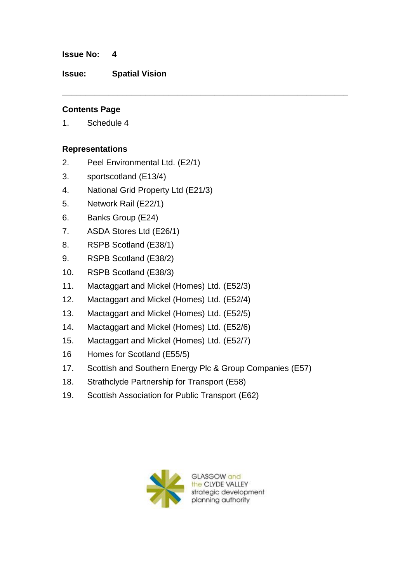#### **Issue No: 4**

**Issue: Spatial Vision**

## **Contents Page**

1. Schedule 4

## **Representations**

- 2. Peel Environmental Ltd. (E2/1)
- 3. sportscotland (E13/4)
- 4. National Grid Property Ltd (E21/3)
- 5. Network Rail (E22/1)
- 6. Banks Group (E24)
- 7. ASDA Stores Ltd (E26/1)
- 8. RSPB Scotland (E38/1)
- 9. RSPB Scotland (E38/2)
- 10. RSPB Scotland (E38/3)
- 11. Mactaggart and Mickel (Homes) Ltd. (E52/3)
- 12. Mactaggart and Mickel (Homes) Ltd. (E52/4)
- 13. Mactaggart and Mickel (Homes) Ltd. (E52/5)
- 14. Mactaggart and Mickel (Homes) Ltd. (E52/6)
- 15. Mactaggart and Mickel (Homes) Ltd. (E52/7)
- 16 Homes for Scotland (E55/5)
- 17. Scottish and Southern Energy Plc & Group Companies (E57)

**\_\_\_\_\_\_\_\_\_\_\_\_\_\_\_\_\_\_\_\_\_\_\_\_\_\_\_\_\_\_\_\_\_\_\_\_\_\_\_\_\_\_\_\_\_\_\_\_\_\_\_\_\_\_\_\_\_\_\_\_\_\_**

- 18. Strathclyde Partnership for Transport (E58)
- 19. Scottish Association for Public Transport (E62)

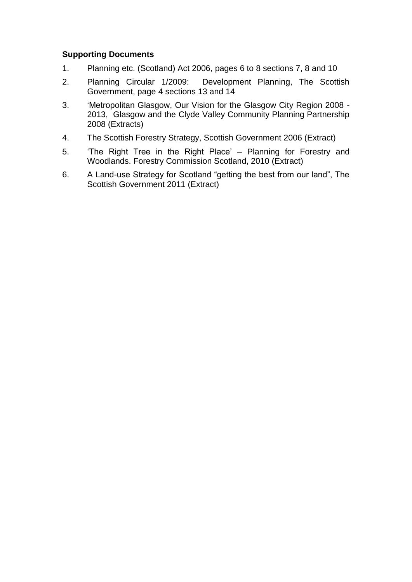## **Supporting Documents**

- 1. Planning etc. (Scotland) Act 2006, pages 6 to 8 sections 7, 8 and 10
- 2. Planning Circular 1/2009: Development Planning, The Scottish Government, page 4 sections 13 and 14
- 3. "Metropolitan Glasgow, Our Vision for the Glasgow City Region 2008 2013, Glasgow and the Clyde Valley Community Planning Partnership 2008 (Extracts)
- 4. The Scottish Forestry Strategy, Scottish Government 2006 (Extract)
- 5. "The Right Tree in the Right Place" Planning for Forestry and Woodlands. Forestry Commission Scotland, 2010 (Extract)
- 6. A Land-use Strategy for Scotland "getting the best from our land", The Scottish Government 2011 (Extract)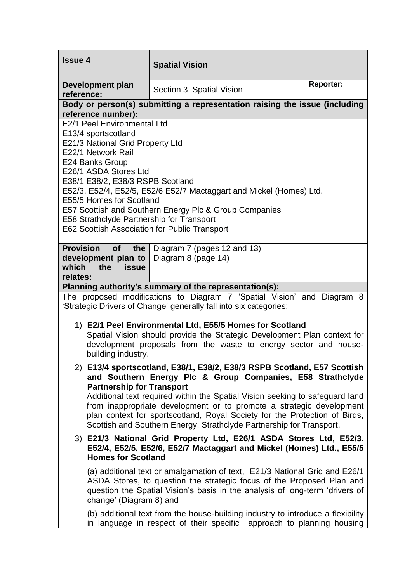| <b>Issue 4</b>                                                                                                                                                                                                                                                                                                                                                                                                                                                                          | <b>Spatial Vision</b>                                                                                                                                    |                  |
|-----------------------------------------------------------------------------------------------------------------------------------------------------------------------------------------------------------------------------------------------------------------------------------------------------------------------------------------------------------------------------------------------------------------------------------------------------------------------------------------|----------------------------------------------------------------------------------------------------------------------------------------------------------|------------------|
| <b>Development plan</b><br>reference:                                                                                                                                                                                                                                                                                                                                                                                                                                                   | Section 3 Spatial Vision                                                                                                                                 | <b>Reporter:</b> |
| Body or person(s) submitting a representation raising the issue (including<br>reference number):                                                                                                                                                                                                                                                                                                                                                                                        |                                                                                                                                                          |                  |
| E2/1 Peel Environmental Ltd<br>E13/4 sportscotland<br>E21/3 National Grid Property Ltd<br>E22/1 Network Rail<br>E24 Banks Group<br>E26/1 ASDA Stores Ltd<br>E38/1 E38/2, E38/3 RSPB Scotland<br>E52/3, E52/4, E52/5, E52/6 E52/7 Mactaggart and Mickel (Homes) Ltd.<br>E55/5 Homes for Scotland<br>E57 Scottish and Southern Energy Plc & Group Companies<br>E58 Strathclyde Partnership for Transport<br>E62 Scottish Association for Public Transport                                 |                                                                                                                                                          |                  |
| <b>Provision</b><br><b>of</b><br>the<br>development plan to<br>which<br>the<br>issue<br>relates:                                                                                                                                                                                                                                                                                                                                                                                        | Diagram 7 (pages 12 and 13)<br>Diagram 8 (page 14)                                                                                                       |                  |
| Planning authority's summary of the representation(s):                                                                                                                                                                                                                                                                                                                                                                                                                                  |                                                                                                                                                          |                  |
| The proposed modifications to Diagram 7 'Spatial Vision' and Diagram 8<br>'Strategic Drivers of Change' generally fall into six categories;                                                                                                                                                                                                                                                                                                                                             |                                                                                                                                                          |                  |
| 1) E2/1 Peel Environmental Ltd, E55/5 Homes for Scotland<br>Spatial Vision should provide the Strategic Development Plan context for<br>development proposals from the waste to energy sector and house-<br>building industry.                                                                                                                                                                                                                                                          |                                                                                                                                                          |                  |
| 2) E13/4 sportscotland, E38/1, E38/2, E38/3 RSPB Scotland, E57 Scottish<br>and Southern Energy Plc & Group Companies, E58 Strathclyde<br><b>Partnership for Transport</b><br>Additional text required within the Spatial Vision seeking to safeguard land<br>from inappropriate development or to promote a strategic development<br>plan context for sportscotland, Royal Society for the Protection of Birds,<br>Scottish and Southern Energy, Strathclyde Partnership for Transport. |                                                                                                                                                          |                  |
| 3) E21/3 National Grid Property Ltd, E26/1 ASDA Stores Ltd, E52/3.<br>E52/4, E52/5, E52/6, E52/7 Mactaggart and Mickel (Homes) Ltd., E55/5<br><b>Homes for Scotland</b>                                                                                                                                                                                                                                                                                                                 |                                                                                                                                                          |                  |
| (a) additional text or amalgamation of text, E21/3 National Grid and E26/1<br>ASDA Stores, to question the strategic focus of the Proposed Plan and<br>question the Spatial Vision's basis in the analysis of long-term 'drivers of<br>change' (Diagram 8) and                                                                                                                                                                                                                          |                                                                                                                                                          |                  |
|                                                                                                                                                                                                                                                                                                                                                                                                                                                                                         | (b) additional text from the house-building industry to introduce a flexibility<br>in language in respect of their specific approach to planning housing |                  |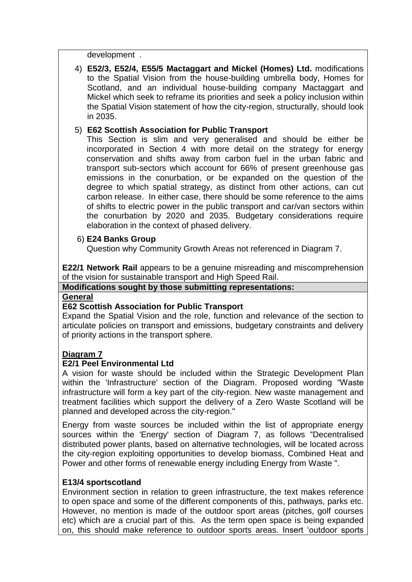development .

4) **E52/3, E52/4, E55/5 Mactaggart and Mickel (Homes) Ltd.** modifications to the Spatial Vision from the house-building umbrella body, Homes for Scotland, and an individual house-building company Mactaggart and Mickel which seek to reframe its priorities and seek a policy inclusion within the Spatial Vision statement of how the city-region, structurally, should look in 2035.

## 5) **E62 Scottish Association for Public Transport**

This Section is slim and very generalised and should be either be incorporated in Section 4 with more detail on the strategy for energy conservation and shifts away from carbon fuel in the urban fabric and transport sub-sectors which account for 66% of present greenhouse gas emissions in the conurbation, or be expanded on the question of the degree to which spatial strategy, as distinct from other actions, can cut carbon release. In either case, there should be some reference to the aims of shifts to electric power in the public transport and car/van sectors within the conurbation by 2020 and 2035. Budgetary considerations require elaboration in the context of phased delivery.

#### 6) **E24 Banks Group**

Question why Community Growth Areas not referenced in Diagram 7.

**E22/1 Network Rail** appears to be a genuine misreading and miscomprehension of the vision for sustainable transport and High Speed Rail.

# **Modifications sought by those submitting representations:**

#### **General**

#### **E62 Scottish Association for Public Transport**

Expand the Spatial Vision and the role, function and relevance of the section to articulate policies on transport and emissions, budgetary constraints and delivery of priority actions in the transport sphere.

#### **Diagram 7**

#### **E2/1 Peel Environmental Ltd**

A vision for waste should be included within the Strategic Development Plan within the 'Infrastructure' section of the Diagram. Proposed wording "Waste infrastructure will form a key part of the city-region. New waste management and treatment facilities which support the delivery of a Zero Waste Scotland will be planned and developed across the city-region."

Energy from waste sources be included within the list of appropriate energy sources within the 'Energy' section of Diagram 7, as follows "Decentralised distributed power plants, based on alternative technologies, will be located across the city-region exploiting opportunities to develop biomass, Combined Heat and Power and other forms of renewable energy including Energy from Waste ".

#### **E13/4 sportscotland**

Environment section in relation to green infrastructure, the text makes reference to open space and some of the different components of this, pathways, parks etc. However, no mention is made of the outdoor sport areas (pitches, golf courses etc) which are a crucial part of this. As the term open space is being expanded on, this should make reference to outdoor sports areas. Insert "outdoor sports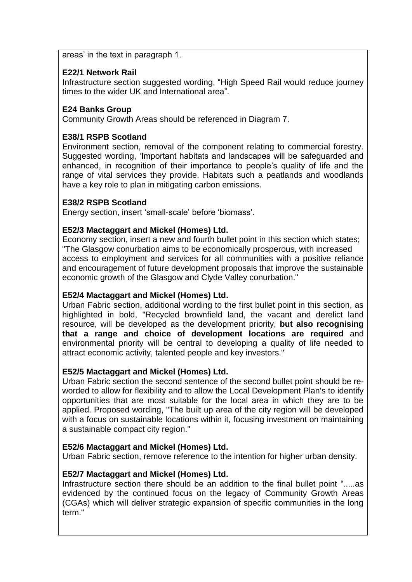areas" in the text in paragraph 1.

## **E22/1 Network Rail**

Infrastructure section suggested wording, "High Speed Rail would reduce journey times to the wider UK and International area".

# **E24 Banks Group**

Community Growth Areas should be referenced in Diagram 7.

# **E38/1 RSPB Scotland**

Environment section, removal of the component relating to commercial forestry. Suggested wording, "Important habitats and landscapes will be safeguarded and enhanced, in recognition of their importance to people"s quality of life and the range of vital services they provide. Habitats such a peatlands and woodlands have a key role to plan in mitigating carbon emissions.

## **E38/2 RSPB Scotland**

Energy section, insert "small-scale" before "biomass".

## **E52/3 Mactaggart and Mickel (Homes) Ltd.**

Economy section, insert a new and fourth bullet point in this section which states; "The Glasgow conurbation aims to be economically prosperous, with increased access to employment and services for all communities with a positive reliance and encouragement of future development proposals that improve the sustainable economic growth of the Glasgow and Clyde Valley conurbation."

## **E52/4 Mactaggart and Mickel (Homes) Ltd.**

Urban Fabric section, additional wording to the first bullet point in this section, as highlighted in bold, "Recycled brownfield land, the vacant and derelict land resource, will be developed as the development priority, **but also recognising that a range and choice of development locations are required** and environmental priority will be central to developing a quality of life needed to attract economic activity, talented people and key investors."

## **E52/5 Mactaggart and Mickel (Homes) Ltd.**

Urban Fabric section the second sentence of the second bullet point should be reworded to allow for flexibility and to allow the Local Development Plan's to identify opportunities that are most suitable for the local area in which they are to be applied. Proposed wording, "The built up area of the city region will be developed with a focus on sustainable locations within it, focusing investment on maintaining a sustainable compact city region."

## **E52/6 Mactaggart and Mickel (Homes) Ltd.**

Urban Fabric section, remove reference to the intention for higher urban density.

## **E52/7 Mactaggart and Mickel (Homes) Ltd.**

Infrastructure section there should be an addition to the final bullet point ".....as evidenced by the continued focus on the legacy of Community Growth Areas (CGAs) which will deliver strategic expansion of specific communities in the long term<sup>"</sup>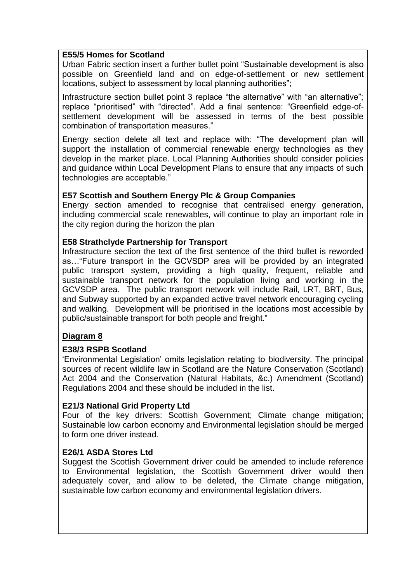### **E55/5 Homes for Scotland**

Urban Fabric section insert a further bullet point "Sustainable development is also possible on Greenfield land and on edge-of-settlement or new settlement locations, subject to assessment by local planning authorities";

Infrastructure section bullet point 3 replace "the alternative" with "an alternative"; replace "prioritised" with "directed". Add a final sentence: "Greenfield edge-ofsettlement development will be assessed in terms of the best possible combination of transportation measures."

Energy section delete all text and replace with: "The development plan will support the installation of commercial renewable energy technologies as they develop in the market place. Local Planning Authorities should consider policies and guidance within Local Development Plans to ensure that any impacts of such technologies are acceptable."

## **E57 Scottish and Southern Energy Plc & Group Companies**

Energy section amended to recognise that centralised energy generation, including commercial scale renewables, will continue to play an important role in the city region during the horizon the plan

## **E58 Strathclyde Partnership for Transport**

Infrastructure section the text of the first sentence of the third bullet is reworded as…"Future transport in the GCVSDP area will be provided by an integrated public transport system, providing a high quality, frequent, reliable and sustainable transport network for the population living and working in the GCVSDP area. The public transport network will include Rail, LRT, BRT, Bus, and Subway supported by an expanded active travel network encouraging cycling and walking. Development will be prioritised in the locations most accessible by public/sustainable transport for both people and freight."

## **Diagram 8**

## **E38/3 RSPB Scotland**

"Environmental Legislation" omits legislation relating to biodiversity. The principal sources of recent wildlife law in Scotland are the [Nature Conservation \(Scotland\)](http://www.opsi.gov.uk/legislation/scotland/acts2004/20040006.htm)  [Act 2004](http://www.opsi.gov.uk/legislation/scotland/acts2004/20040006.htm) and the [Conservation \(Natural Habitats, &c.\) Amendment \(Scotland\)](http://web.uct.ac.za/depts/pbl/jgibson/iczm/legis/ssi2004/20040475.htm)  [Regulations 2004](http://web.uct.ac.za/depts/pbl/jgibson/iczm/legis/ssi2004/20040475.htm) and these should be included in the list.

#### **E21/3 National Grid Property Ltd**

Four of the key drivers: Scottish Government; Climate change mitigation; Sustainable low carbon economy and Environmental legislation should be merged to form one driver instead.

#### **E26/1 ASDA Stores Ltd**

Suggest the Scottish Government driver could be amended to include reference to Environmental legislation, the Scottish Government driver would then adequately cover, and allow to be deleted, the Climate change mitigation, sustainable low carbon economy and environmental legislation drivers.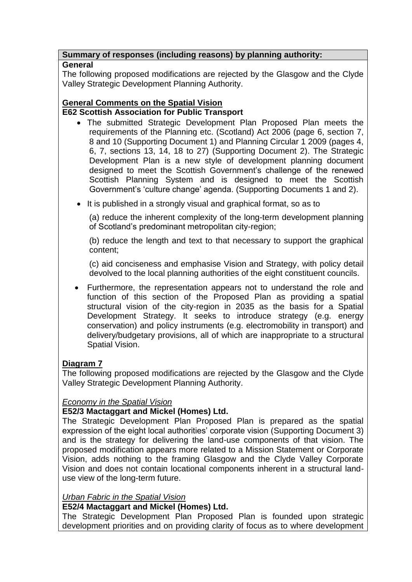# **Summary of responses (including reasons) by planning authority:**

# **General**

The following proposed modifications are rejected by the Glasgow and the Clyde Valley Strategic Development Planning Authority.

# **General Comments on the Spatial Vision E62 Scottish Association for Public Transport**

- The submitted Strategic Development Plan Proposed Plan meets the requirements of the Planning etc. (Scotland) Act 2006 (page 6, section 7, 8 and 10 (Supporting Document 1) and Planning Circular 1 2009 (pages 4, 6, 7, sections 13, 14, 18 to 27) (Supporting Document 2). The Strategic Development Plan is a new style of development planning document designed to meet the Scottish Government"s challenge of the renewed Scottish Planning System and is designed to meet the Scottish Government"s "culture change" agenda. (Supporting Documents 1 and 2).
- It is published in a strongly visual and graphical format, so as to

(a) reduce the inherent complexity of the long-term development planning of Scotland"s predominant metropolitan city-region;

(b) reduce the length and text to that necessary to support the graphical content;

(c) aid conciseness and emphasise Vision and Strategy, with policy detail devolved to the local planning authorities of the eight constituent councils.

 Furthermore, the representation appears not to understand the role and function of this section of the Proposed Plan as providing a spatial structural vision of the city-region in 2035 as the basis for a Spatial Development Strategy. It seeks to introduce strategy (e.g. energy conservation) and policy instruments (e.g. electromobility in transport) and delivery/budgetary provisions, all of which are inappropriate to a structural Spatial Vision.

# **Diagram 7**

The following proposed modifications are rejected by the Glasgow and the Clyde Valley Strategic Development Planning Authority.

# *Economy in the Spatial Vision*

# **E52/3 Mactaggart and Mickel (Homes) Ltd.**

The Strategic Development Plan Proposed Plan is prepared as the spatial expression of the eight local authorities' corporate vision (Supporting Document 3) and is the strategy for delivering the land-use components of that vision. The proposed modification appears more related to a Mission Statement or Corporate Vision, adds nothing to the framing Glasgow and the Clyde Valley Corporate Vision and does not contain locational components inherent in a structural landuse view of the long-term future.

## *Urban Fabric in the Spatial Vision*

## **E52/4 Mactaggart and Mickel (Homes) Ltd.**

The Strategic Development Plan Proposed Plan is founded upon strategic development priorities and on providing clarity of focus as to where development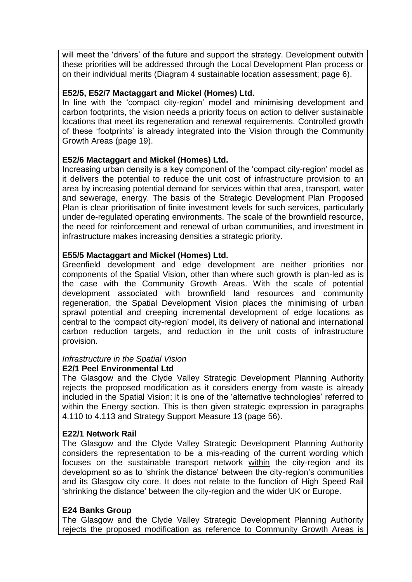will meet the 'drivers' of the future and support the strategy. Development outwith these priorities will be addressed through the Local Development Plan process or on their individual merits (Diagram 4 sustainable location assessment; page 6).

#### **E52/5, E52/7 Mactaggart and Mickel (Homes) Ltd.**

In line with the 'compact city-region' model and minimising development and carbon footprints, the vision needs a priority focus on action to deliver sustainable locations that meet its regeneration and renewal requirements. Controlled growth of these "footprints" is already integrated into the Vision through the Community Growth Areas (page 19).

#### **E52/6 Mactaggart and Mickel (Homes) Ltd.**

Increasing urban density is a key component of the "compact city-region" model as it delivers the potential to reduce the unit cost of infrastructure provision to an area by increasing potential demand for services within that area, transport, water and sewerage, energy. The basis of the Strategic Development Plan Proposed Plan is clear prioritisation of finite investment levels for such services, particularly under de-regulated operating environments. The scale of the brownfield resource, the need for reinforcement and renewal of urban communities, and investment in infrastructure makes increasing densities a strategic priority.

#### **E55/5 Mactaggart and Mickel (Homes) Ltd.**

Greenfield development and edge development are neither priorities nor components of the Spatial Vision, other than where such growth is plan-led as is the case with the Community Growth Areas. With the scale of potential development associated with brownfield land resources and community regeneration, the Spatial Development Vision places the minimising of urban sprawl potential and creeping incremental development of edge locations as central to the "compact city-region" model, its delivery of national and international carbon reduction targets, and reduction in the unit costs of infrastructure provision.

#### *Infrastructure in the Spatial Vision*

#### **E2/1 Peel Environmental Ltd**

The Glasgow and the Clyde Valley Strategic Development Planning Authority rejects the proposed modification as it considers energy from waste is already included in the Spatial Vision; it is one of the "alternative technologies" referred to within the Energy section. This is then given strategic expression in paragraphs 4.110 to 4.113 and Strategy Support Measure 13 (page 56).

#### **E22/1 Network Rail**

The Glasgow and the Clyde Valley Strategic Development Planning Authority considers the representation to be a mis-reading of the current wording which focuses on the sustainable transport network within the city-region and its development so as to "shrink the distance" between the city-region"s communities and its Glasgow city core. It does not relate to the function of High Speed Rail "shrinking the distance" between the city-region and the wider UK or Europe.

#### **E24 Banks Group**

The Glasgow and the Clyde Valley Strategic Development Planning Authority rejects the proposed modification as reference to Community Growth Areas is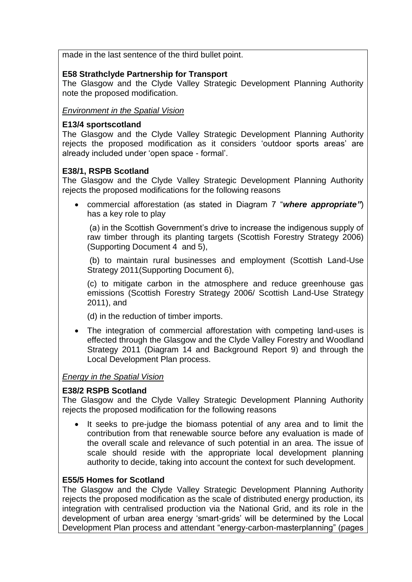made in the last sentence of the third bullet point.

## **E58 Strathclyde Partnership for Transport**

The Glasgow and the Clyde Valley Strategic Development Planning Authority note the proposed modification.

*Environment in the Spatial Vision*

### **E13/4 sportscotland**

The Glasgow and the Clyde Valley Strategic Development Planning Authority rejects the proposed modification as it considers "outdoor sports areas" are already included under "open space - formal".

## **E38/1, RSPB Scotland**

The Glasgow and the Clyde Valley Strategic Development Planning Authority rejects the proposed modifications for the following reasons

 commercial afforestation (as stated in Diagram 7 "*where appropriate"*) has a key role to play

(a) in the Scottish Government"s drive to increase the indigenous supply of raw timber through its planting targets (Scottish Forestry Strategy 2006) (Supporting Document 4 and 5),

(b) to maintain rural businesses and employment (Scottish Land-Use Strategy 2011(Supporting Document 6),

(c) to mitigate carbon in the atmosphere and reduce greenhouse gas emissions (Scottish Forestry Strategy 2006/ Scottish Land-Use Strategy 2011), and

(d) in the reduction of timber imports.

• The integration of commercial afforestation with competing land-uses is effected through the Glasgow and the Clyde Valley Forestry and Woodland Strategy 2011 (Diagram 14 and Background Report 9) and through the Local Development Plan process.

## *Energy in the Spatial Vision*

## **E38/2 RSPB Scotland**

The Glasgow and the Clyde Valley Strategic Development Planning Authority rejects the proposed modification for the following reasons

 It seeks to pre-judge the biomass potential of any area and to limit the contribution from that renewable source before any evaluation is made of the overall scale and relevance of such potential in an area. The issue of scale should reside with the appropriate local development planning authority to decide, taking into account the context for such development.

#### **E55/5 Homes for Scotland**

The Glasgow and the Clyde Valley Strategic Development Planning Authority rejects the proposed modification as the scale of distributed energy production, its integration with centralised production via the National Grid, and its role in the development of urban area energy "smart-grids" will be determined by the Local Development Plan process and attendant "energy-carbon-masterplanning" (pages